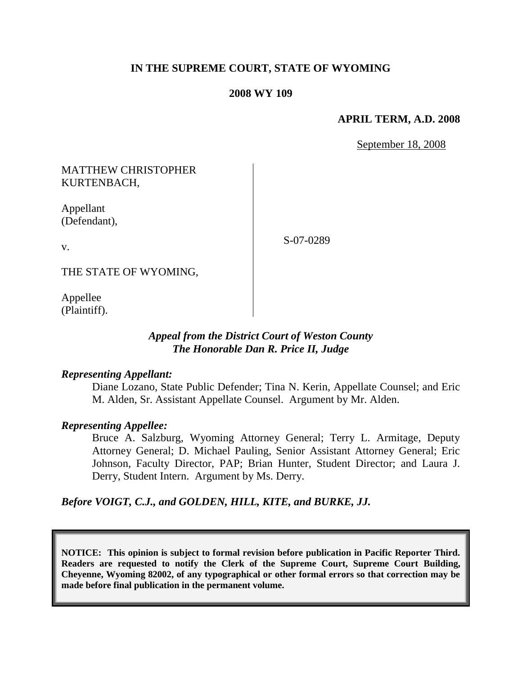# **IN THE SUPREME COURT, STATE OF WYOMING**

## **2008 WY 109**

## **APRIL TERM, A.D. 2008**

September 18, 2008

# MATTHEW CHRISTOPHER KURTENBACH,

Appellant (Defendant),

S-07-0289

THE STATE OF WYOMING,

Appellee (Plaintiff).

v.

# *Appeal from the District Court of Weston County The Honorable Dan R. Price II, Judge*

## *Representing Appellant:*

Diane Lozano, State Public Defender; Tina N. Kerin, Appellate Counsel; and Eric M. Alden, Sr. Assistant Appellate Counsel. Argument by Mr. Alden.

## *Representing Appellee:*

Bruce A. Salzburg, Wyoming Attorney General; Terry L. Armitage, Deputy Attorney General; D. Michael Pauling, Senior Assistant Attorney General; Eric Johnson, Faculty Director, PAP; Brian Hunter, Student Director; and Laura J. Derry, Student Intern. Argument by Ms. Derry.

*Before VOIGT, C.J., and GOLDEN, HILL, KITE, and BURKE, JJ.*

**NOTICE: This opinion is subject to formal revision before publication in Pacific Reporter Third. Readers are requested to notify the Clerk of the Supreme Court, Supreme Court Building, Cheyenne, Wyoming 82002, of any typographical or other formal errors so that correction may be made before final publication in the permanent volume.**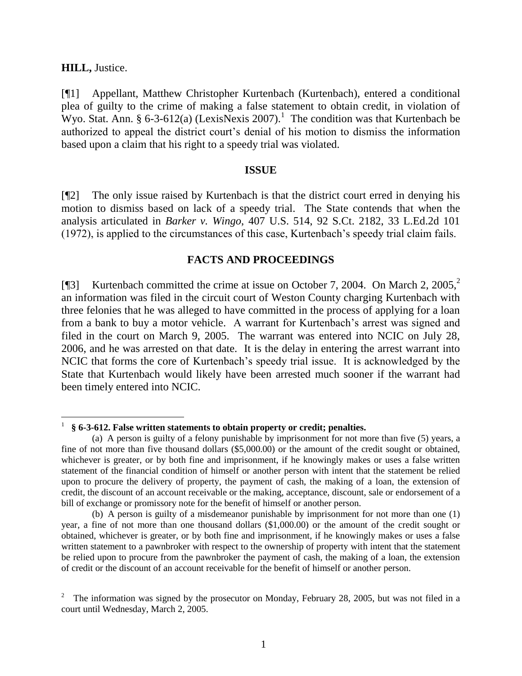#### **HILL,** Justice.

[¶1] Appellant, Matthew Christopher Kurtenbach (Kurtenbach), entered a conditional plea of guilty to the crime of making a false statement to obtain credit, in violation of Wyo. Stat. Ann. § 6-3-612(a) (LexisNexis 2007).<sup>1</sup> The condition was that Kurtenbach be authorized to appeal the district court's denial of his motion to dismiss the information based upon a claim that his right to a speedy trial was violated.

#### **ISSUE**

[¶2] The only issue raised by Kurtenbach is that the district court erred in denying his motion to dismiss based on lack of a speedy trial. The State contends that when the analysis articulated in *Barker v. Wingo*, 407 U.S. 514, 92 S.Ct. 2182, 33 L.Ed.2d 101 (1972), is applied to the circumstances of this case, Kurtenbach's speedy trial claim fails.

## **FACTS AND PROCEEDINGS**

[¶3] Kurtenbach committed the crime at issue on October 7, 2004. On March 2,  $2005$ ,  $2005$ an information was filed in the circuit court of Weston County charging Kurtenbach with three felonies that he was alleged to have committed in the process of applying for a loan from a bank to buy a motor vehicle. A warrant for Kurtenbach's arrest was signed and filed in the court on March 9, 2005. The warrant was entered into NCIC on July 28, 2006, and he was arrested on that date. It is the delay in entering the arrest warrant into NCIC that forms the core of Kurtenbach's speedy trial issue. It is acknowledged by the State that Kurtenbach would likely have been arrested much sooner if the warrant had been timely entered into NCIC.

<sup>1</sup> **§ 6-3-612. False written statements to obtain property or credit; penalties.**

<sup>(</sup>a) A person is guilty of a felony punishable by imprisonment for not more than five (5) years, a fine of not more than five thousand dollars (\$5,000.00) or the amount of the credit sought or obtained, whichever is greater, or by both fine and imprisonment, if he knowingly makes or uses a false written statement of the financial condition of himself or another person with intent that the statement be relied upon to procure the delivery of property, the payment of cash, the making of a loan, the extension of credit, the discount of an account receivable or the making, acceptance, discount, sale or endorsement of a bill of exchange or promissory note for the benefit of himself or another person.

<sup>(</sup>b) A person is guilty of a misdemeanor punishable by imprisonment for not more than one (1) year, a fine of not more than one thousand dollars (\$1,000.00) or the amount of the credit sought or obtained, whichever is greater, or by both fine and imprisonment, if he knowingly makes or uses a false written statement to a pawnbroker with respect to the ownership of property with intent that the statement be relied upon to procure from the pawnbroker the payment of cash, the making of a loan, the extension of credit or the discount of an account receivable for the benefit of himself or another person.

<sup>2</sup> The information was signed by the prosecutor on Monday, February 28, 2005, but was not filed in a court until Wednesday, March 2, 2005.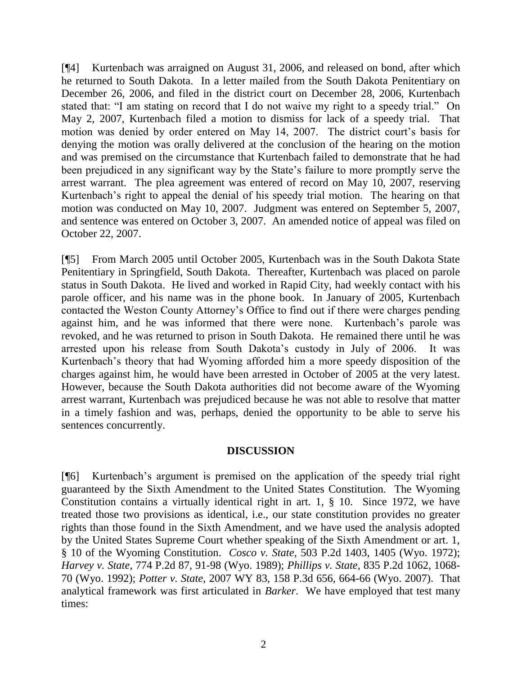[¶4] Kurtenbach was arraigned on August 31, 2006, and released on bond, after which he returned to South Dakota. In a letter mailed from the South Dakota Penitentiary on December 26, 2006, and filed in the district court on December 28, 2006, Kurtenbach stated that: "I am stating on record that I do not waive my right to a speedy trial." On May 2, 2007, Kurtenbach filed a motion to dismiss for lack of a speedy trial. That motion was denied by order entered on May 14, 2007. The district court's basis for denying the motion was orally delivered at the conclusion of the hearing on the motion and was premised on the circumstance that Kurtenbach failed to demonstrate that he had been prejudiced in any significant way by the State's failure to more promptly serve the arrest warrant. The plea agreement was entered of record on May 10, 2007, reserving Kurtenbach's right to appeal the denial of his speedy trial motion. The hearing on that motion was conducted on May 10, 2007. Judgment was entered on September 5, 2007, and sentence was entered on October 3, 2007. An amended notice of appeal was filed on October 22, 2007.

[¶5] From March 2005 until October 2005, Kurtenbach was in the South Dakota State Penitentiary in Springfield, South Dakota. Thereafter, Kurtenbach was placed on parole status in South Dakota. He lived and worked in Rapid City, had weekly contact with his parole officer, and his name was in the phone book. In January of 2005, Kurtenbach contacted the Weston County Attorney's Office to find out if there were charges pending against him, and he was informed that there were none. Kurtenbach's parole was revoked, and he was returned to prison in South Dakota. He remained there until he was arrested upon his release from South Dakota's custody in July of 2006. It was Kurtenbach's theory that had Wyoming afforded him a more speedy disposition of the charges against him, he would have been arrested in October of 2005 at the very latest. However, because the South Dakota authorities did not become aware of the Wyoming arrest warrant, Kurtenbach was prejudiced because he was not able to resolve that matter in a timely fashion and was, perhaps, denied the opportunity to be able to serve his sentences concurrently.

## **DISCUSSION**

[¶6] Kurtenbach's argument is premised on the application of the speedy trial right guaranteed by the Sixth Amendment to the United States Constitution. The Wyoming Constitution contains a virtually identical right in art. 1, § 10. Since 1972, we have treated those two provisions as identical, i.e., our state constitution provides no greater rights than those found in the Sixth Amendment, and we have used the analysis adopted by the United States Supreme Court whether speaking of the Sixth Amendment or art. 1, § 10 of the Wyoming Constitution. *Cosco v. State*, 503 P.2d 1403, 1405 (Wyo. 1972); *Harvey v. State*, 774 P.2d 87, 91-98 (Wyo. 1989); *Phillips v. State*, 835 P.2d 1062, 1068- 70 (Wyo. 1992); *Potter v. State*, 2007 WY 83, 158 P.3d 656, 664-66 (Wyo. 2007). That analytical framework was first articulated in *Barker*. We have employed that test many times: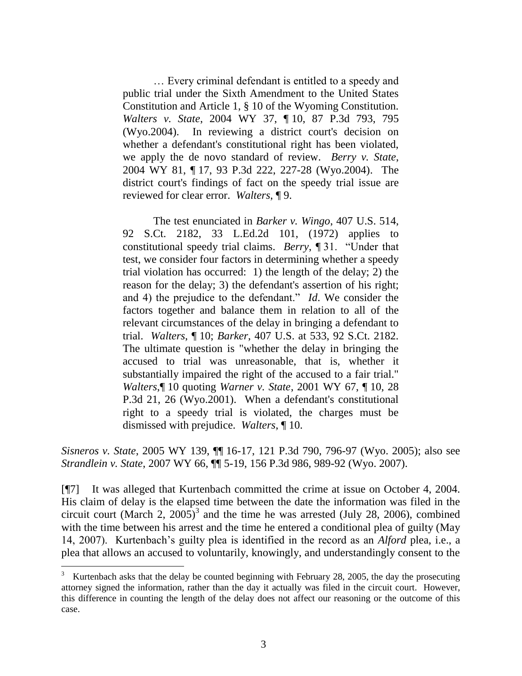… Every criminal defendant is entitled to a speedy and public trial under the Sixth Amendment to the United States Constitution and Article 1, § 10 of the Wyoming Constitution. *Walters v. State*, 2004 WY 37, ¶ 10, 87 P.3d 793, 795 (Wyo.2004). In reviewing a district court's decision on whether a defendant's constitutional right has been violated, we apply the de novo standard of review. *Berry v. State*, 2004 WY 81, ¶ 17, 93 P.3d 222, 227-28 (Wyo.2004). The district court's findings of fact on the speedy trial issue are reviewed for clear error. *Walters*, ¶ 9.

The test enunciated in *Barker v. Wingo*, 407 U.S. 514, 92 S.Ct. 2182, 33 L.Ed.2d 101, (1972) applies to constitutional speedy trial claims. *Berry*, ¶ 31. "Under that test, we consider four factors in determining whether a speedy trial violation has occurred: 1) the length of the delay; 2) the reason for the delay; 3) the defendant's assertion of his right; and 4) the prejudice to the defendant." *Id*. We consider the factors together and balance them in relation to all of the relevant circumstances of the delay in bringing a defendant to trial. *Walters*, ¶ 10; *Barker*, 407 U.S. at 533, 92 S.Ct. 2182. The ultimate question is "whether the delay in bringing the accused to trial was unreasonable, that is, whether it substantially impaired the right of the accused to a fair trial." *Walters*,¶ 10 quoting *Warner v. State*, 2001 WY 67, ¶ 10, 28 P.3d 21, 26 (Wyo.2001). When a defendant's constitutional right to a speedy trial is violated, the charges must be dismissed with prejudice. *Walters*, ¶ 10.

*Sisneros v. State*, 2005 WY 139, ¶¶ 16-17, 121 P.3d 790, 796-97 (Wyo. 2005); also see *Strandlein v. State*, 2007 WY 66, ¶¶ 5-19, 156 P.3d 986, 989-92 (Wyo. 2007).

[¶7] It was alleged that Kurtenbach committed the crime at issue on October 4, 2004. His claim of delay is the elapsed time between the date the information was filed in the circuit court (March 2,  $2005$ )<sup>3</sup> and the time he was arrested (July 28, 2006), combined with the time between his arrest and the time he entered a conditional plea of guilty (May 14, 2007). Kurtenbach's guilty plea is identified in the record as an *Alford* plea, i.e., a plea that allows an accused to voluntarily, knowingly, and understandingly consent to the

<sup>3</sup> Kurtenbach asks that the delay be counted beginning with February 28, 2005, the day the prosecuting attorney signed the information, rather than the day it actually was filed in the circuit court. However, this difference in counting the length of the delay does not affect our reasoning or the outcome of this case.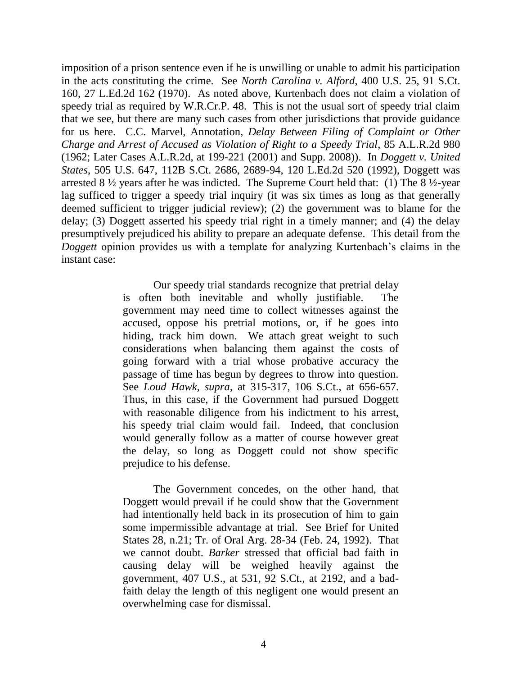imposition of a prison sentence even if he is unwilling or unable to admit his participation in the acts constituting the crime. See *North Carolina v. Alford*, 400 U.S. 25, 91 S.Ct. 160, 27 L.Ed.2d 162 (1970). As noted above, Kurtenbach does not claim a violation of speedy trial as required by W.R.Cr.P. 48. This is not the usual sort of speedy trial claim that we see, but there are many such cases from other jurisdictions that provide guidance for us here. C.C. Marvel, Annotation, *Delay Between Filing of Complaint or Other Charge and Arrest of Accused as Violation of Right to a Speedy Trial*, 85 A.L.R.2d 980 (1962; Later Cases A.L.R.2d, at 199-221 (2001) and Supp. 2008)). In *Doggett v. United States*, 505 U.S. 647, 112B S.Ct. 2686, 2689-94, 120 L.Ed.2d 520 (1992), Doggett was arrested 8  $\frac{1}{2}$  years after he was indicted. The Supreme Court held that: (1) The 8  $\frac{1}{2}$ -year lag sufficed to trigger a speedy trial inquiry (it was six times as long as that generally deemed sufficient to trigger judicial review); (2) the government was to blame for the delay; (3) Doggett asserted his speedy trial right in a timely manner; and (4) the delay presumptively prejudiced his ability to prepare an adequate defense. This detail from the *Doggett* opinion provides us with a template for analyzing Kurtenbach's claims in the instant case:

> Our speedy trial standards recognize that pretrial delay is often both inevitable and wholly justifiable. The government may need time to collect witnesses against the accused, oppose his pretrial motions, or, if he goes into hiding, track him down. We attach great weight to such considerations when balancing them against the costs of going forward with a trial whose probative accuracy the passage of time has begun by degrees to throw into question. See *[Loud Hawk, supra,](http://www.westlaw.com/Find/Default.wl?rs=dfa1.0&vr=2.0&DB=708&FindType=Y&ReferencePositionType=S&SerialNum=1986103499&ReferencePosition=656)* [at 315-317, 106 S.Ct., at 656-657.](http://www.westlaw.com/Find/Default.wl?rs=dfa1.0&vr=2.0&DB=708&FindType=Y&ReferencePositionType=S&SerialNum=1986103499&ReferencePosition=656)  Thus, in this case, if the Government had pursued Doggett with reasonable diligence from his indictment to his arrest, his speedy trial claim would fail. Indeed, that conclusion would generally follow as a matter of course however great the delay, so long as Doggett could not show specific prejudice to his defense.

> The Government concedes, on the other hand, that Doggett would prevail if he could show that the Government had intentionally held back in its prosecution of him to gain some impermissible advantage at trial. See Brief for United States 28, n.21; Tr. of Oral Arg. 28-34 (Feb. 24, 1992). That we cannot doubt. *[Barker](http://www.westlaw.com/Find/Default.wl?rs=dfa1.0&vr=2.0&FindType=Y&SerialNum=1972127165)* stressed that official bad faith in causing delay will be weighed heavily against the government, [407 U.S., at 531, 92 S.Ct., at 2192,](http://www.westlaw.com/Find/Default.wl?rs=dfa1.0&vr=2.0&DB=708&FindType=Y&ReferencePositionType=S&SerialNum=1972127165&ReferencePosition=2192) and a badfaith delay the length of this negligent one would present an overwhelming case for dismissal.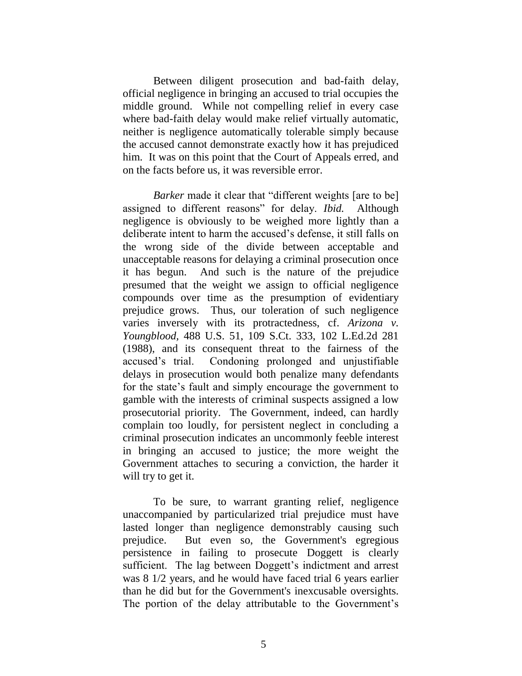Between diligent prosecution and bad-faith delay, official negligence in bringing an accused to trial occupies the middle ground. While not compelling relief in every case where bad-faith delay would make relief virtually automatic, neither is negligence automatically tolerable simply because the accused cannot demonstrate exactly how it has prejudiced him. It was on this point that the Court of Appeals erred, and on the facts before us, it was reversible error.

*[Barker](http://www.westlaw.com/Find/Default.wl?rs=dfa1.0&vr=2.0&FindType=Y&SerialNum=1972127165)* made it clear that "different weights [are to be] assigned to different reasons" for delay. *[Ibid.](http://www.westlaw.com/Find/Default.wl?rs=dfa1.0&vr=2.0&FindType=Y&SerialNum=1972127165)* Although negligence is obviously to be weighed more lightly than a deliberate intent to harm the accused's defense, it still falls on the wrong side of the divide between acceptable and unacceptable reasons for delaying a criminal prosecution once it has begun. And such is the nature of the prejudice presumed that the weight we assign to official negligence compounds over time as the presumption of evidentiary prejudice grows. Thus, our toleration of such negligence varies inversely with its protractedness, cf. *[Arizona v.](http://www.westlaw.com/Find/Default.wl?rs=dfa1.0&vr=2.0&DB=708&FindType=Y&SerialNum=1988152268)  [Youngblood,](http://www.westlaw.com/Find/Default.wl?rs=dfa1.0&vr=2.0&DB=708&FindType=Y&SerialNum=1988152268)* [488 U.S. 51, 109 S.Ct. 333, 102 L.Ed.2d 281](http://www.westlaw.com/Find/Default.wl?rs=dfa1.0&vr=2.0&DB=708&FindType=Y&SerialNum=1988152268)  (1988), and its consequent threat to the fairness of the accused's trial. Condoning prolonged and unjustifiable delays in prosecution would both penalize many defendants for the state's fault and simply encourage the government to gamble with the interests of criminal suspects assigned a low prosecutorial priority. The Government, indeed, can hardly complain too loudly, for persistent neglect in concluding a criminal prosecution indicates an uncommonly feeble interest in bringing an accused to justice; the more weight the Government attaches to securing a conviction, the harder it will try to get it.

To be sure, to warrant granting relief, negligence unaccompanied by particularized trial prejudice must have lasted longer than negligence demonstrably causing such prejudice. But even so, the Government's egregious persistence in failing to prosecute Doggett is clearly sufficient. The lag between Doggett's indictment and arrest was 8 1/2 years, and he would have faced trial 6 years earlier than he did but for the Government's inexcusable oversights. The portion of the delay attributable to the Government's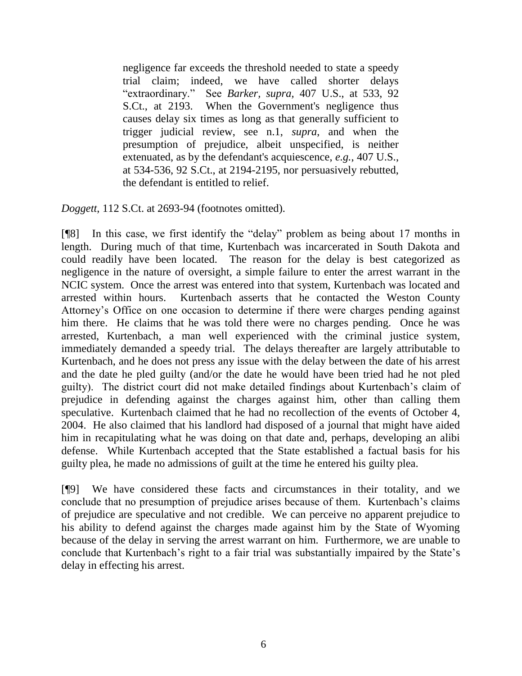negligence far exceeds the threshold needed to state a speedy trial claim; indeed, we have called shorter delays "extraordinary." See *[Barker, supra,](http://www.westlaw.com/Find/Default.wl?rs=dfa1.0&vr=2.0&DB=708&FindType=Y&ReferencePositionType=S&SerialNum=1972127165&ReferencePosition=2193)* [407 U.S., at 533, 92](http://www.westlaw.com/Find/Default.wl?rs=dfa1.0&vr=2.0&DB=708&FindType=Y&ReferencePositionType=S&SerialNum=1972127165&ReferencePosition=2193)  S.Ct., at 2193. When the Government's negligence thus causes delay six times as long as that generally sufficient to trigger judicial review, see n.1, *supra*, and when the presumption of prejudice, albeit unspecified, is neither extenuated, as by the defendant's acquiescence, *e.g.*, [407 U.S.,](http://www.westlaw.com/Find/Default.wl?rs=dfa1.0&vr=2.0&DB=708&FindType=Y&ReferencePositionType=S&SerialNum=1972127165&ReferencePosition=2194)  [at 534-536, 92 S.Ct., at 2194-2195,](http://www.westlaw.com/Find/Default.wl?rs=dfa1.0&vr=2.0&DB=708&FindType=Y&ReferencePositionType=S&SerialNum=1972127165&ReferencePosition=2194) nor persuasively rebutted, the defendant is entitled to relief.

*Doggett*, 112 S.Ct. at 2693-94 (footnotes omitted).

[¶8] In this case, we first identify the "delay" problem as being about 17 months in length. During much of that time, Kurtenbach was incarcerated in South Dakota and could readily have been located. The reason for the delay is best categorized as negligence in the nature of oversight, a simple failure to enter the arrest warrant in the NCIC system. Once the arrest was entered into that system, Kurtenbach was located and arrested within hours. Kurtenbach asserts that he contacted the Weston County Attorney's Office on one occasion to determine if there were charges pending against him there. He claims that he was told there were no charges pending. Once he was arrested, Kurtenbach, a man well experienced with the criminal justice system, immediately demanded a speedy trial. The delays thereafter are largely attributable to Kurtenbach, and he does not press any issue with the delay between the date of his arrest and the date he pled guilty (and/or the date he would have been tried had he not pled guilty). The district court did not make detailed findings about Kurtenbach's claim of prejudice in defending against the charges against him, other than calling them speculative. Kurtenbach claimed that he had no recollection of the events of October 4, 2004. He also claimed that his landlord had disposed of a journal that might have aided him in recapitulating what he was doing on that date and, perhaps, developing an alibi defense. While Kurtenbach accepted that the State established a factual basis for his guilty plea, he made no admissions of guilt at the time he entered his guilty plea.

[¶9] We have considered these facts and circumstances in their totality, and we conclude that no presumption of prejudice arises because of them. Kurtenbach's claims of prejudice are speculative and not credible. We can perceive no apparent prejudice to his ability to defend against the charges made against him by the State of Wyoming because of the delay in serving the arrest warrant on him. Furthermore, we are unable to conclude that Kurtenbach's right to a fair trial was substantially impaired by the State's delay in effecting his arrest.